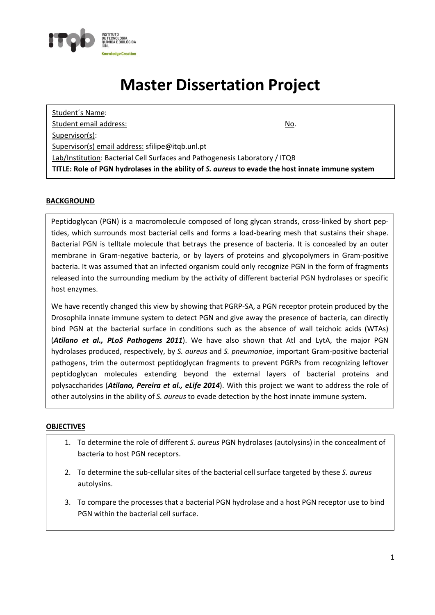

# **Master Dissertation Project**

Student´s Name: Student email address: No. Supervisor(s): Supervisor(s) email address: sfilipe@itqb.unl.pt Lab/Institution: Bacterial Cell Surfaces and Pathogenesis Laboratory / ITQB **TITLE: Role of PGN hydrolases in the ability of** *S. aureus* **to evade the host innate immune system**

## **BACKGROUND**

Peptidoglycan (PGN) is a macromolecule composed of long glycan strands, cross-linked by short peptides, which surrounds most bacterial cells and forms a load-bearing mesh that sustains their shape. Bacterial PGN is telltale molecule that betrays the presence of bacteria. It is concealed by an outer membrane in Gram-negative bacteria, or by layers of proteins and glycopolymers in Gram-positive bacteria. It was assumed that an infected organism could only recognize PGN in the form of fragments released into the surrounding medium by the activity of different bacterial PGN hydrolases or specific host enzymes.

We have recently changed this view by showing that PGRP-SA, a PGN receptor protein produced by the Drosophila innate immune system to detect PGN and give away the presence of bacteria, can directly bind PGN at the bacterial surface in conditions such as the absence of wall teichoic acids (WTAs) (*Atilano et al., PLoS Pathogens 2011*). We have also shown that Atl and LytA, the major PGN hydrolases produced, respectively, by *S. aureus* and *S. pneumoniae*, important Gram-positive bacterial pathogens, trim the outermost peptidoglycan fragments to prevent PGRPs from recognizing leftover peptidoglycan molecules extending beyond the external layers of bacterial proteins and polysaccharides (*Atilano, Pereira et al., eLife 2014*). With this project we want to address the role of other autolysins in the ability of *S. aureus* to evade detection by the host innate immune system.

#### **OBJECTIVES**

- 1. To determine the role of different *S. aureus* PGN hydrolases (autolysins) in the concealment of bacteria to host PGN receptors.
- 2. To determine the sub-cellular sites of the bacterial cell surface targeted by these *S. aureus* autolysins.
- 3. To compare the processes that a bacterial PGN hydrolase and a host PGN receptor use to bind PGN within the bacterial cell surface.